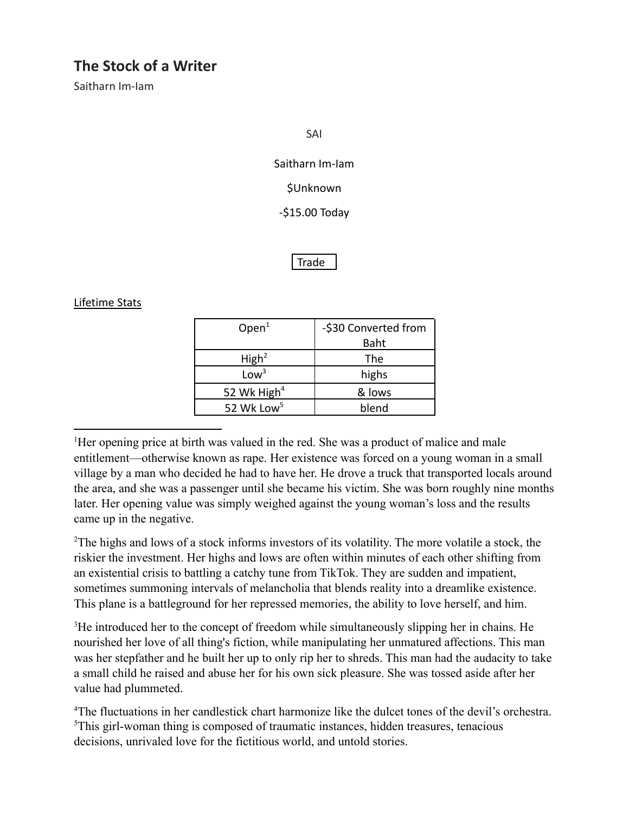# **The Stock of a Writer**

Saitharn Im-Iam

SAI

Saitharn Im-Iam

*<u>SUnknown</u>* 

-\$15.00 Today

**Trade** 

#### Lifetime Stats

| Open <sup>1</sup>       | -\$30 Converted from |
|-------------------------|----------------------|
|                         | Baht                 |
| High <sup>2</sup>       | The                  |
| Low <sup>3</sup>        | highs                |
| 52 Wk High <sup>4</sup> | & lows               |
| 52 Wk Low <sup>5</sup>  | blend                |

<sup>1</sup>Her opening price at birth was valued in the red. She was a product of malice and male entitlement—otherwise known as rape. Her existence was forced on a young woman in a small village by a man who decided he had to have her. He drove a truck that transported locals around the area, and she was a passenger until she became his victim. She was born roughly nine months later. Her opening value was simply weighed against the young woman's loss and the results came up in the negative.

<sup>2</sup>The highs and lows of a stock informs investors of its volatility. The more volatile a stock, the riskier the investment. Her highs and lows are often within minutes of each other shifting from an existential crisis to battling a catchy tune from TikTok. They are sudden and impatient, sometimes summoning intervals of melancholia that blends reality into a dreamlike existence. This plane is a battleground for her repressed memories, the ability to love herself, and him.

<sup>3</sup>He introduced her to the concept of freedom while simultaneously slipping her in chains. He nourished her love of all thing's fiction, while manipulating her unmatured affections. This man was her stepfather and he built her up to only rip her to shreds. This man had the audacity to take a small child he raised and abuse her for his own sick pleasure. She was tossed aside after her value had plummeted.

<sup>5</sup>This girl-woman thing is composed of traumatic instances, hidden treasures, tenacious decisions, unrivaled love for the fictitious world, and untold stories. <sup>4</sup>The fluctuations in her candlestick chart harmonize like the dulcet tones of the devil's orchestra.